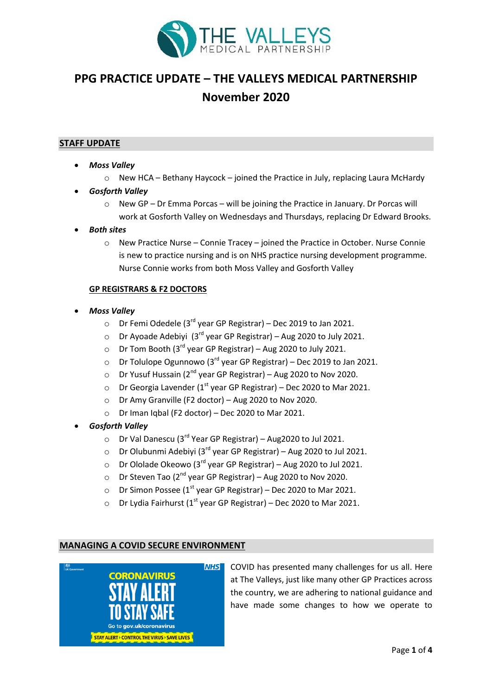

# **PPG PRACTICE UPDATE – THE VALLEYS MEDICAL PARTNERSHIP November 2020**

## **STAFF UPDATE**

- *Moss Valley*
	- $\circ$  New HCA Bethany Haycock joined the Practice in July, replacing Laura McHardy
- *Gosforth Valley*
	- $\circ$  New GP Dr Emma Porcas will be joining the Practice in January. Dr Porcas will work at Gosforth Valley on Wednesdays and Thursdays, replacing Dr Edward Brooks.
- *Both sites*
	- o New Practice Nurse Connie Tracey joined the Practice in October. Nurse Connie is new to practice nursing and is on NHS practice nursing development programme. Nurse Connie works from both Moss Valley and Gosforth Valley

## **GP REGISTRARS & F2 DOCTORS**

- *Moss Valley*
	- $\circ$  Dr Femi Odedele (3<sup>rd</sup> year GP Registrar) Dec 2019 to Jan 2021.
	- Dr Ayoade Adebiyi  $(3^{rd}$  year GP Registrar) Aug 2020 to July 2021.
	- $\circ$  Dr Tom Booth (3<sup>rd</sup> year GP Registrar) Aug 2020 to July 2021.
	- $\circ$  Dr Tolulope Ogunnowo (3<sup>rd</sup> year GP Registrar) Dec 2019 to Jan 2021.
	- $\circ$  Dr Yusuf Hussain (2<sup>nd</sup> year GP Registrar) Aug 2020 to Nov 2020.
	- $\circ$  Dr Georgia Lavender (1<sup>st</sup> year GP Registrar) Dec 2020 to Mar 2021.
	- o Dr Amy Granville (F2 doctor) Aug 2020 to Nov 2020.
	- o Dr Iman Iqbal (F2 doctor) Dec 2020 to Mar 2021.
- *Gosforth Valley*
	- $\circ$  Dr Val Danescu (3<sup>rd</sup> Year GP Registrar) Aug2020 to Jul 2021.
	- o Dr Olubunmi Adebiyi (3<sup>rd</sup> year GP Registrar) Aug 2020 to Jul 2021.
	- $\circ$  Dr Ololade Okeowo (3<sup>rd</sup> year GP Registrar) Aug 2020 to Jul 2021.
	- $\circ$  Dr Steven Tao (2<sup>nd</sup> year GP Registrar) Aug 2020 to Nov 2020.
	- o Dr Simon Possee ( $1^{st}$  year GP Registrar) Dec 2020 to Mar 2021.
	- Dr Lydia Fairhurst ( $1<sup>st</sup>$  year GP Registrar) Dec 2020 to Mar 2021.

## **MANAGING A COVID SECURE ENVIRONMENT**



COVID has presented many challenges for us all. Here at The Valleys, just like many other GP Practices across the country, we are adhering to national guidance and have made some changes to how we operate to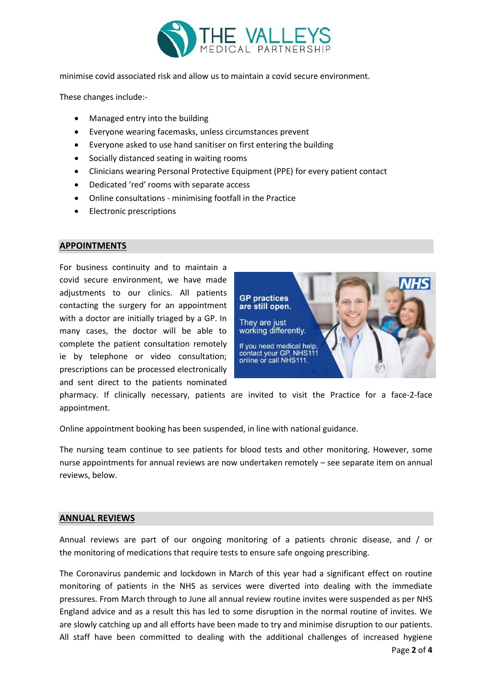

minimise covid associated risk and allow us to maintain a covid secure environment.

These changes include:-

- Managed entry into the building
- Everyone wearing facemasks, unless circumstances prevent
- Everyone asked to use hand sanitiser on first entering the building
- Socially distanced seating in waiting rooms
- Clinicians wearing Personal Protective Equipment (PPE) for every patient contact
- Dedicated 'red' rooms with separate access
- Online consultations minimising footfall in the Practice
- **•** Electronic prescriptions

# **APPOINTMENTS**

For business continuity and to maintain a covid secure environment, we have made adjustments to our clinics. All patients contacting the surgery for an appointment with a doctor are initially triaged by a GP. In many cases, the doctor will be able to complete the patient consultation remotely ie by telephone or video consultation; prescriptions can be processed electronically and sent direct to the patients nominated



pharmacy. If clinically necessary, patients are invited to visit the Practice for a face-2-face appointment.

Online appointment booking has been suspended, in line with national guidance.

The nursing team continue to see patients for blood tests and other monitoring. However, some nurse appointments for annual reviews are now undertaken remotely – see separate item on annual reviews, below.

## **ANNUAL REVIEWS**

Annual reviews are part of our ongoing monitoring of a patients chronic disease, and / or the monitoring of medications that require tests to ensure safe ongoing prescribing.

The Coronavirus pandemic and lockdown in March of this year had a significant effect on routine monitoring of patients in the NHS as services were diverted into dealing with the immediate pressures. From March through to June all annual review routine invites were suspended as per NHS England advice and as a result this has led to some disruption in the normal routine of invites. We are slowly catching up and all efforts have been made to try and minimise disruption to our patients. All staff have been committed to dealing with the additional challenges of increased hygiene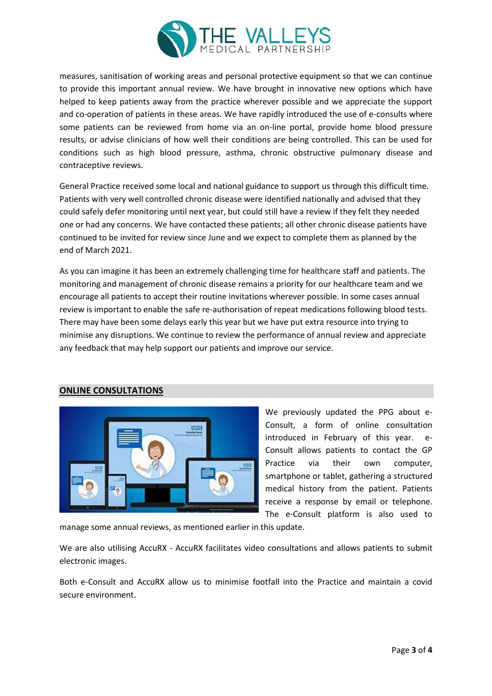

measures, sanitisation of working areas and personal protective equipment so that we can continue to provide this important annual review. We have brought in innovative new options which have helped to keep patients away from the practice wherever possible and we appreciate the support and co-operation of patients in these areas. We have rapidly introduced the use of e-consults where some patients can be reviewed from home via an on-line portal, provide home blood pressure results, or advise clinicians of how well their conditions are being controlled. This can be used for conditions such as high blood pressure, asthma, chronic obstructive pulmonary disease and contraceptive reviews.

General Practice received some local and national guidance to support us through this difficult time. Patients with very well controlled chronic disease were identified nationally and advised that they could safely defer monitoring until next year, but could still have a review if they felt they needed one or had any concerns. We have contacted these patients; all other chronic disease patients have continued to be invited for review since June and we expect to complete them as planned by the end of March 2021.

As you can imagine it has been an extremely challenging time for healthcare staff and patients. The monitoring and management of chronic disease remains a priority for our healthcare team and we encourage all patients to accept their routine invitations wherever possible. In some cases annual review is important to enable the safe re-authorisation of repeat medications following blood tests. There may have been some delays early this year but we have put extra resource into trying to minimise any disruptions. We continue to review the performance of annual review and appreciate any feedback that may help support our patients and improve our service.

# **ONLINE CONSULTATIONS**



We previously updated the PPG about e-Consult, a form of online consultation introduced in February of this year. e-Consult allows patients to contact the GP Practice via their own computer, smartphone or tablet, gathering a structured medical history from the patient. Patients receive a response by email or telephone. The e-Consult platform is also used to

manage some annual reviews, as mentioned earlier in this update.

We are also utilising AccuRX - AccuRX facilitates video consultations and allows patients to submit electronic images.

Both e-Consult and AccuRX allow us to minimise footfall into the Practice and maintain a covid secure environment.